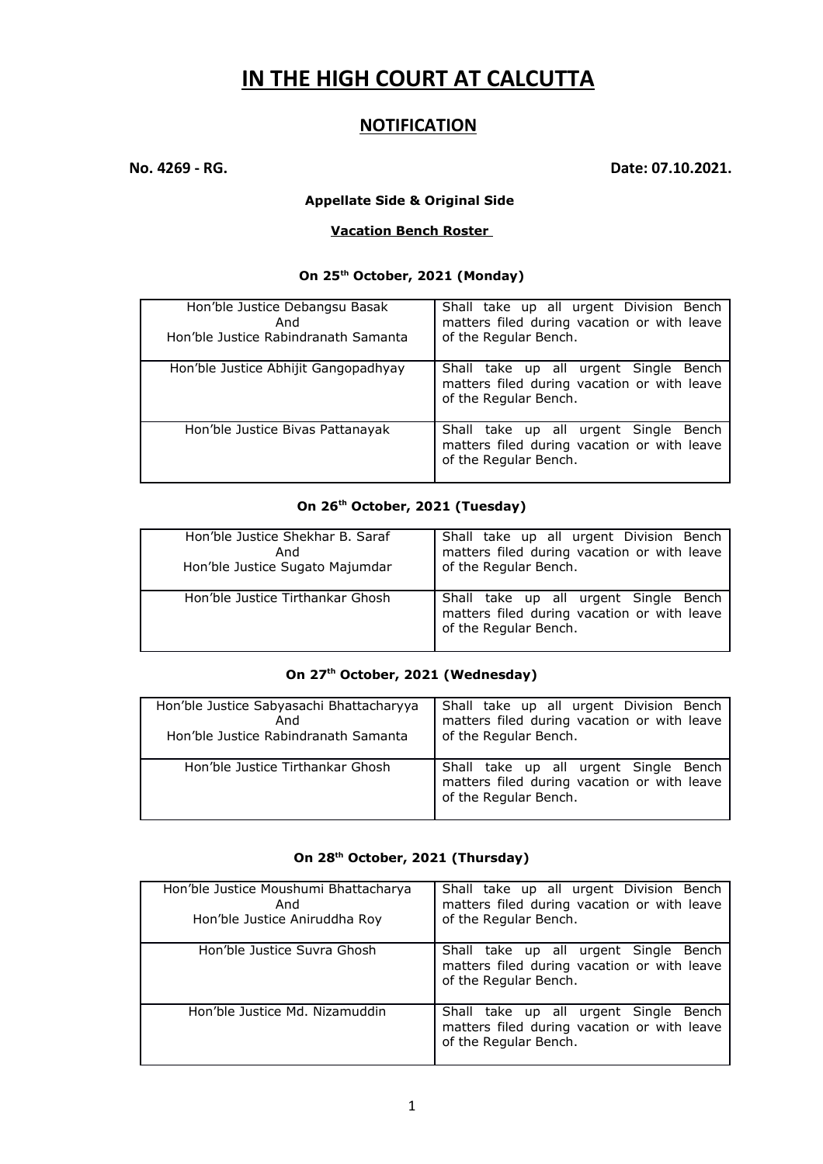# **IN THE HIGH COURT AT CALCUTTA**

## **NOTIFICATION**

**No. 4269 - RG. Date: 07.10.2021.**

#### **Appellate Side & Original Side**

#### **Vacation Bench Roster**

#### **On 25th October, 2021 (Monday)**

| Hon'ble Justice Debangsu Basak<br>And<br>Hon'ble Justice Rabindranath Samanta | Shall take up all urgent Division Bench<br>matters filed during vacation or with leave<br>of the Regular Bench. |
|-------------------------------------------------------------------------------|-----------------------------------------------------------------------------------------------------------------|
| Hon'ble Justice Abhijit Gangopadhyay                                          | Shall take up all urgent Single Bench<br>matters filed during vacation or with leave<br>of the Regular Bench.   |
| Hon'ble Justice Bivas Pattanayak                                              | Shall take up all urgent Single Bench<br>matters filed during vacation or with leave<br>of the Regular Bench.   |

#### **On 26th October, 2021 (Tuesday)**

| Hon'ble Justice Shekhar B. Saraf | Shall take up all urgent Division Bench                                                                       |
|----------------------------------|---------------------------------------------------------------------------------------------------------------|
| And                              | matters filed during vacation or with leave                                                                   |
| Hon'ble Justice Sugato Majumdar  | of the Regular Bench.                                                                                         |
| Hon'ble Justice Tirthankar Ghosh | Shall take up all urgent Single Bench<br>matters filed during vacation or with leave<br>of the Regular Bench. |

### **On 27th October, 2021 (Wednesday)**

| Hon'ble Justice Sabyasachi Bhattacharyya | Shall take up all urgent Division Bench                                                                       |
|------------------------------------------|---------------------------------------------------------------------------------------------------------------|
| And                                      | matters filed during vacation or with leave                                                                   |
| Hon'ble Justice Rabindranath Samanta     | of the Regular Bench.                                                                                         |
| Hon'ble Justice Tirthankar Ghosh         | Shall take up all urgent Single Bench<br>matters filed during vacation or with leave<br>of the Regular Bench. |

## **On 28th October, 2021 (Thursday)**

| Hon'ble Justice Moushumi Bhattacharya<br>And<br>Hon'ble Justice Aniruddha Roy | Shall take up all urgent Division Bench<br>matters filed during vacation or with leave<br>of the Regular Bench. |
|-------------------------------------------------------------------------------|-----------------------------------------------------------------------------------------------------------------|
| Hon'ble Justice Suvra Ghosh                                                   | Shall take up all urgent Single Bench<br>matters filed during vacation or with leave<br>of the Regular Bench.   |
| Hon'ble Justice Md. Nizamuddin                                                | Shall take up all urgent Single Bench<br>matters filed during vacation or with leave<br>of the Regular Bench.   |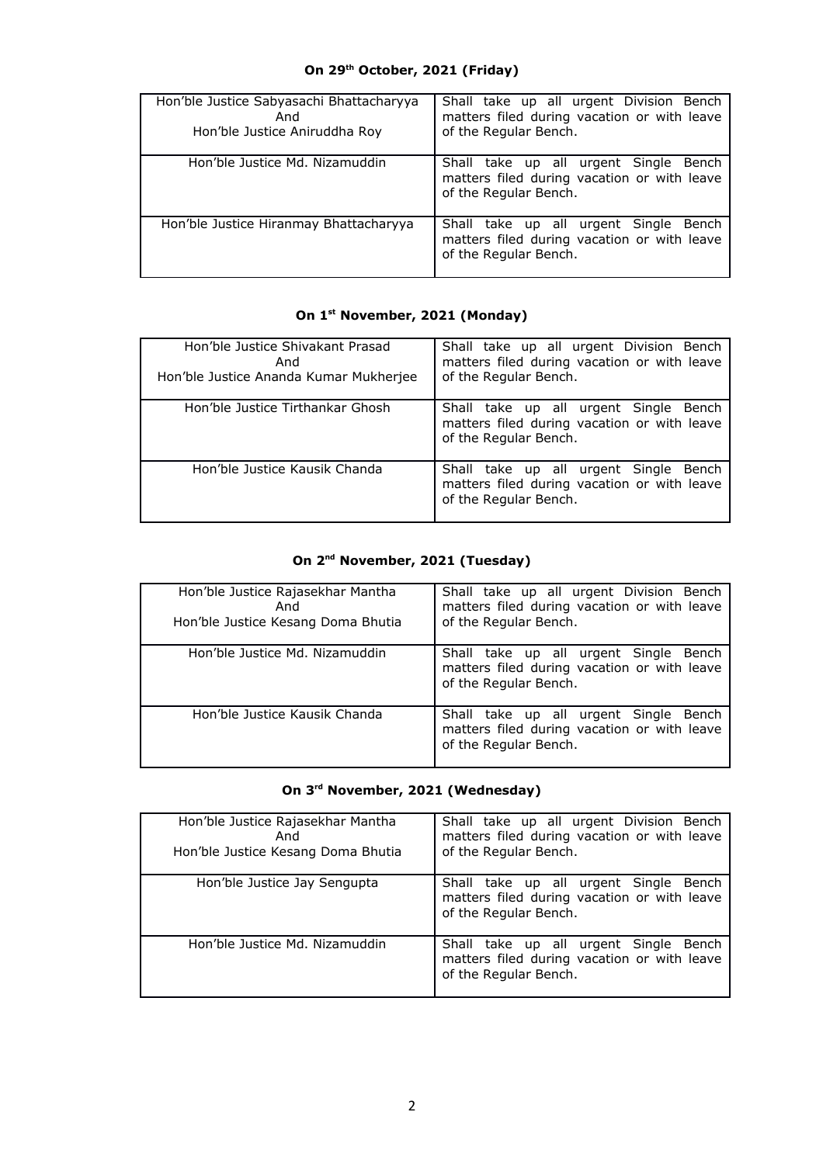# **On 29th October, 2021 (Friday)**

| Hon'ble Justice Sabyasachi Bhattacharyya<br>And<br>Hon'ble Justice Aniruddha Roy | Shall take up all urgent Division Bench<br>matters filed during vacation or with leave<br>of the Regular Bench. |
|----------------------------------------------------------------------------------|-----------------------------------------------------------------------------------------------------------------|
| Hon'ble Justice Md. Nizamuddin                                                   | Shall take up all urgent Single Bench<br>matters filed during vacation or with leave<br>of the Regular Bench.   |
| Hon'ble Justice Hiranmay Bhattacharyya                                           | Shall take up all urgent Single Bench<br>matters filed during vacation or with leave<br>of the Regular Bench.   |

# **On 1st November, 2021 (Monday)**

| Hon'ble Justice Shivakant Prasad<br>And<br>Hon'ble Justice Ananda Kumar Mukherjee | Shall take up all urgent Division Bench<br>matters filed during vacation or with leave<br>of the Regular Bench. |
|-----------------------------------------------------------------------------------|-----------------------------------------------------------------------------------------------------------------|
| Hon'ble Justice Tirthankar Ghosh                                                  | Shall take up all urgent Single Bench<br>matters filed during vacation or with leave<br>of the Regular Bench.   |
| Hon'ble Justice Kausik Chanda                                                     | Shall take up all urgent Single Bench<br>matters filed during vacation or with leave<br>of the Regular Bench.   |

# **On 2nd November, 2021 (Tuesday)**

| Hon'ble Justice Rajasekhar Mantha<br>And<br>Hon'ble Justice Kesang Doma Bhutia | Shall take up all urgent Division Bench<br>matters filed during vacation or with leave<br>of the Regular Bench. |
|--------------------------------------------------------------------------------|-----------------------------------------------------------------------------------------------------------------|
| Hon'ble Justice Md. Nizamuddin                                                 | Shall take up all urgent Single Bench<br>matters filed during vacation or with leave<br>of the Regular Bench.   |
| Hon'ble Justice Kausik Chanda                                                  | Shall take up all urgent Single Bench<br>matters filed during vacation or with leave<br>of the Regular Bench.   |

# **On 3rd November, 2021 (Wednesday)**

| Hon'ble Justice Rajasekhar Mantha<br>And<br>Hon'ble Justice Kesang Doma Bhutia | Shall take up all urgent Division Bench<br>matters filed during vacation or with leave<br>of the Regular Bench. |
|--------------------------------------------------------------------------------|-----------------------------------------------------------------------------------------------------------------|
| Hon'ble Justice Jay Sengupta                                                   | Shall take up all urgent Single Bench<br>matters filed during vacation or with leave<br>of the Regular Bench.   |
| Hon'ble Justice Md. Nizamuddin                                                 | Shall take up all urgent Single Bench<br>matters filed during vacation or with leave<br>of the Regular Bench.   |